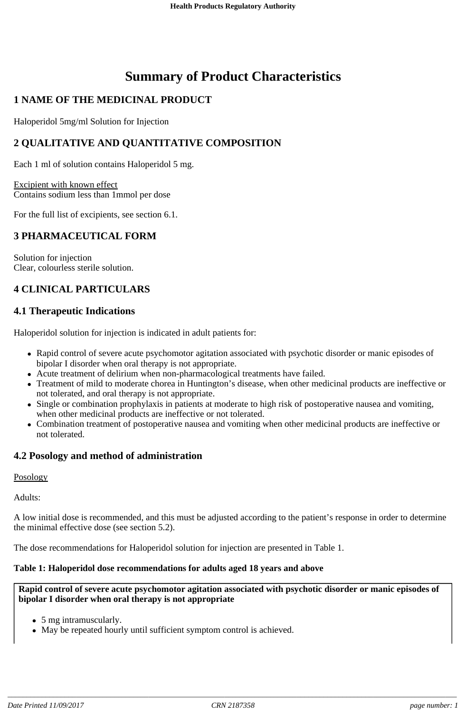# **Summary of Product Characteristics**

## **1 NAME OF THE MEDICINAL PRODUCT**

Haloperidol 5mg/ml Solution for Injection

## **2 QUALITATIVE AND QUANTITATIVE COMPOSITION**

Each 1 ml of solution contains Haloperidol 5 mg.

Excipient with known effect Contains sodium less than 1mmol per dose

For the full list of excipients, see section 6.1.

## **3 PHARMACEUTICAL FORM**

Solution for injection Clear, colourless sterile solution.

## **4 CLINICAL PARTICULARS**

## **4.1 Therapeutic Indications**

Haloperidol solution for injection is indicated in adult patients for:

- Rapid control of severe acute psychomotor agitation associated with psychotic disorder or manic episodes of bipolar I disorder when oral therapy is not appropriate.
- Acute treatment of delirium when non-pharmacological treatments have failed.
- Treatment of mild to moderate chorea in Huntington's disease, when other medicinal products are ineffective or not tolerated, and oral therapy is not appropriate.
- Single or combination prophylaxis in patients at moderate to high risk of postoperative nausea and vomiting, when other medicinal products are ineffective or not tolerated.
- Combination treatment of postoperative nausea and vomiting when other medicinal products are ineffective or not tolerated.

## **4.2 Posology and method of administration**

## Posology

Adults:

A low initial dose is recommended, and this must be adjusted according to the patient's response in order to determine the minimal effective dose (see section 5.2).

The dose recommendations for Haloperidol solution for injection are presented in Table 1.

## **Table 1: Haloperidol dose recommendations for adults aged 18 years and above**

#### **Rapid control of severe acute psychomotor agitation associated with psychotic disorder or manic episodes of bipolar I disorder when oral therapy is not appropriate**

- 5 mg intramuscularly.
- May be repeated hourly until sufficient symptom control is achieved.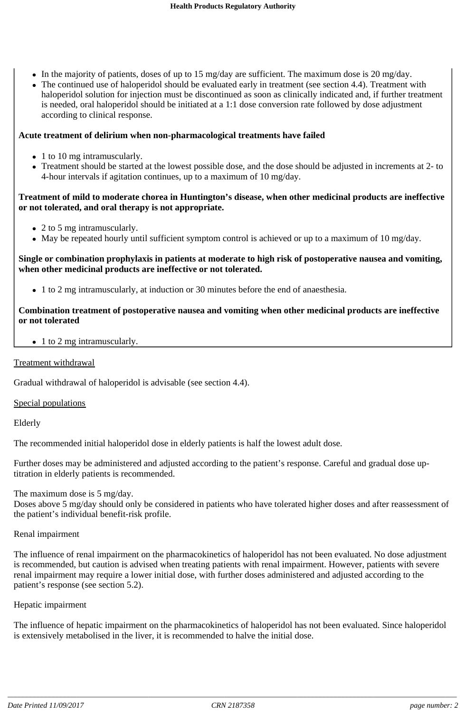- In the majority of patients, doses of up to 15 mg/day are sufficient. The maximum dose is 20 mg/day.
- The continued use of haloperidol should be evaluated early in treatment (see section 4.4). Treatment with haloperidol solution for injection must be discontinued as soon as clinically indicated and, if further treatment is needed, oral haloperidol should be initiated at a 1:1 dose conversion rate followed by dose adjustment according to clinical response.

## **Acute treatment of delirium when non-pharmacological treatments have failed**

- 1 to 10 mg intramuscularly.
- Treatment should be started at the lowest possible dose, and the dose should be adjusted in increments at 2- to 4-hour intervals if agitation continues, up to a maximum of 10 mg/day.

## **Treatment of mild to moderate chorea in Huntington's disease, when other medicinal products are ineffective or not tolerated, and oral therapy is not appropriate.**

- 2 to 5 mg intramuscularly.
- May be repeated hourly until sufficient symptom control is achieved or up to a maximum of 10 mg/day.

## **Single or combination prophylaxis in patients at moderate to high risk of postoperative nausea and vomiting, when other medicinal products are ineffective or not tolerated.**

1 to 2 mg intramuscularly, at induction or 30 minutes before the end of anaesthesia.

## **Combination treatment of postoperative nausea and vomiting when other medicinal products are ineffective or not tolerated**

• 1 to 2 mg intramuscularly.

## Treatment withdrawal

Gradual withdrawal of haloperidol is advisable (see section 4.4).

## Special populations

Elderly

The recommended initial haloperidol dose in elderly patients is half the lowest adult dose.

Further doses may be administered and adjusted according to the patient's response. Careful and gradual dose uptitration in elderly patients is recommended.

The maximum dose is 5 mg/day.

Doses above 5 mg/day should only be considered in patients who have tolerated higher doses and after reassessment of the patient's individual benefit-risk profile.

## Renal impairment

The influence of renal impairment on the pharmacokinetics of haloperidol has not been evaluated. No dose adjustment is recommended, but caution is advised when treating patients with renal impairment. However, patients with severe renal impairment may require a lower initial dose, with further doses administered and adjusted according to the patient's response (see section 5.2).

## Hepatic impairment

The influence of hepatic impairment on the pharmacokinetics of haloperidol has not been evaluated. Since haloperidol is extensively metabolised in the liver, it is recommended to halve the initial dose.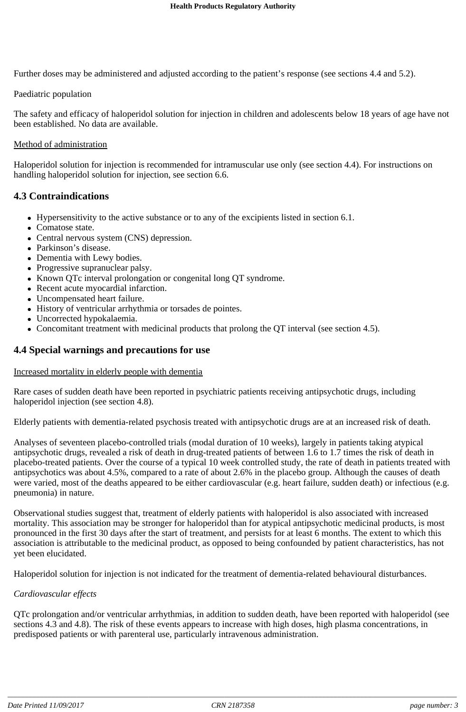Further doses may be administered and adjusted according to the patient's response (see sections 4.4 and 5.2).

Paediatric population

The safety and efficacy of haloperidol solution for injection in children and adolescents below 18 years of age have not been established. No data are available.

## Method of administration

Haloperidol solution for injection is recommended for intramuscular use only (see section 4.4). For instructions on handling haloperidol solution for injection, see section 6.6.

## **4.3 Contraindications**

- Hypersensitivity to the active substance or to any of the excipients listed in section 6.1.
- Comatose state.
- Central nervous system (CNS) depression.
- Parkinson's disease.
- Dementia with Lewy bodies.
- Progressive supranuclear palsy.
- Known QTc interval prolongation or congenital long QT syndrome.
- Recent acute myocardial infarction.
- Uncompensated heart failure.
- History of ventricular arrhythmia or torsades de pointes.
- Uncorrected hypokalaemia.
- Concomitant treatment with medicinal products that prolong the QT interval (see section 4.5).

## **4.4 Special warnings and precautions for use**

## Increased mortality in elderly people with dementia

Rare cases of sudden death have been reported in psychiatric patients receiving antipsychotic drugs, including haloperidol injection (see section 4.8).

Elderly patients with dementia-related psychosis treated with antipsychotic drugs are at an increased risk of death.

Analyses of seventeen placebo-controlled trials (modal duration of 10 weeks), largely in patients taking atypical antipsychotic drugs, revealed a risk of death in drug-treated patients of between 1.6 to 1.7 times the risk of death in placebo-treated patients. Over the course of a typical 10 week controlled study, the rate of death in patients treated with antipsychotics was about 4.5%, compared to a rate of about 2.6% in the placebo group. Although the causes of death were varied, most of the deaths appeared to be either cardiovascular (e.g. heart failure, sudden death) or infectious (e.g. pneumonia) in nature.

Observational studies suggest that, treatment of elderly patients with haloperidol is also associated with increased mortality. This association may be stronger for haloperidol than for atypical antipsychotic medicinal products, is most pronounced in the first 30 days after the start of treatment, and persists for at least 6 months. The extent to which this association is attributable to the medicinal product, as opposed to being confounded by patient characteristics, has not yet been elucidated.

Haloperidol solution for injection is not indicated for the treatment of dementia-related behavioural disturbances.

## *Cardiovascular effects*

QTc prolongation and/or ventricular arrhythmias, in addition to sudden death, have been reported with haloperidol (see sections 4.3 and 4.8). The risk of these events appears to increase with high doses, high plasma concentrations, in predisposed patients or with parenteral use, particularly intravenous administration.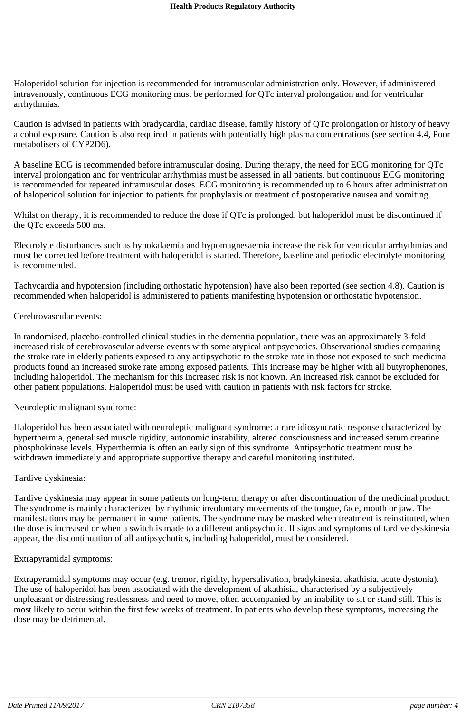Haloperidol solution for injection is recommended for intramuscular administration only. However, if administered intravenously, continuous ECG monitoring must be performed for QTc interval prolongation and for ventricular arrhythmias.

Caution is advised in patients with bradycardia, cardiac disease, family history of QTc prolongation or history of heavy alcohol exposure. Caution is also required in patients with potentially high plasma concentrations (see section 4.4, Poor metabolisers of CYP2D6).

A baseline ECG is recommended before intramuscular dosing. During therapy, the need for ECG monitoring for QTc interval prolongation and for ventricular arrhythmias must be assessed in all patients, but continuous ECG monitoring is recommended for repeated intramuscular doses. ECG monitoring is recommended up to 6 hours after administration of haloperidol solution for injection to patients for prophylaxis or treatment of postoperative nausea and vomiting.

Whilst on therapy, it is recommended to reduce the dose if QTc is prolonged, but haloperidol must be discontinued if the QTc exceeds 500 ms.

Electrolyte disturbances such as hypokalaemia and hypomagnesaemia increase the risk for ventricular arrhythmias and must be corrected before treatment with haloperidol is started. Therefore, baseline and periodic electrolyte monitoring is recommended.

Tachycardia and hypotension (including orthostatic hypotension) have also been reported (see section 4.8). Caution is recommended when haloperidol is administered to patients manifesting hypotension or orthostatic hypotension.

#### Cerebrovascular events:

In randomised, placebo-controlled clinical studies in the dementia population, there was an approximately 3-fold increased risk of cerebrovascular adverse events with some atypical antipsychotics. Observational studies comparing the stroke rate in elderly patients exposed to any antipsychotic to the stroke rate in those not exposed to such medicinal products found an increased stroke rate among exposed patients. This increase may be higher with all butyrophenones, including haloperidol. The mechanism for this increased risk is not known. An increased risk cannot be excluded for other patient populations. Haloperidol must be used with caution in patients with risk factors for stroke.

#### Neuroleptic malignant syndrome:

Haloperidol has been associated with neuroleptic malignant syndrome: a rare idiosyncratic response characterized by hyperthermia, generalised muscle rigidity, autonomic instability, altered consciousness and increased serum creatine phosphokinase levels. Hyperthermia is often an early sign of this syndrome. Antipsychotic treatment must be withdrawn immediately and appropriate supportive therapy and careful monitoring instituted.

#### Tardive dyskinesia:

Tardive dyskinesia may appear in some patients on long-term therapy or after discontinuation of the medicinal product. The syndrome is mainly characterized by rhythmic involuntary movements of the tongue, face, mouth or jaw. The manifestations may be permanent in some patients. The syndrome may be masked when treatment is reinstituted, when the dose is increased or when a switch is made to a different antipsychotic. If signs and symptoms of tardive dyskinesia appear, the discontinuation of all antipsychotics, including haloperidol, must be considered.

#### Extrapyramidal symptoms:

Extrapyramidal symptoms may occur (e.g. tremor, rigidity, hypersalivation, bradykinesia, akathisia, acute dystonia). The use of haloperidol has been associated with the development of akathisia, characterised by a subjectively unpleasant or distressing restlessness and need to move, often accompanied by an inability to sit or stand still. This is most likely to occur within the first few weeks of treatment. In patients who develop these symptoms, increasing the dose may be detrimental.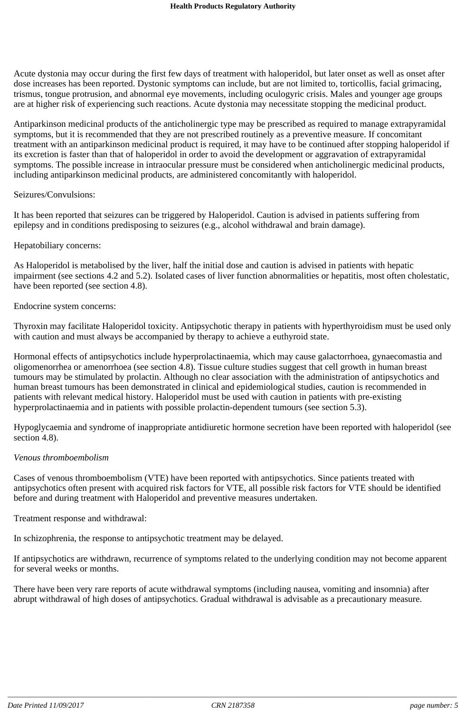Acute dystonia may occur during the first few days of treatment with haloperidol, but later onset as well as onset after dose increases has been reported. Dystonic symptoms can include, but are not limited to, torticollis, facial grimacing, trismus, tongue protrusion, and abnormal eye movements, including oculogyric crisis. Males and younger age groups are at higher risk of experiencing such reactions. Acute dystonia may necessitate stopping the medicinal product.

Antiparkinson medicinal products of the anticholinergic type may be prescribed as required to manage extrapyramidal symptoms, but it is recommended that they are not prescribed routinely as a preventive measure. If concomitant treatment with an antiparkinson medicinal product is required, it may have to be continued after stopping haloperidol if its excretion is faster than that of haloperidol in order to avoid the development or aggravation of extrapyramidal symptoms. The possible increase in intraocular pressure must be considered when anticholinergic medicinal products, including antiparkinson medicinal products, are administered concomitantly with haloperidol.

#### Seizures/Convulsions:

It has been reported that seizures can be triggered by Haloperidol. Caution is advised in patients suffering from epilepsy and in conditions predisposing to seizures (e.g., alcohol withdrawal and brain damage).

#### Hepatobiliary concerns:

As Haloperidol is metabolised by the liver, half the initial dose and caution is advised in patients with hepatic impairment (see sections 4.2 and 5.2). Isolated cases of liver function abnormalities or hepatitis, most often cholestatic, have been reported (see section 4.8).

#### Endocrine system concerns:

Thyroxin may facilitate Haloperidol toxicity. Antipsychotic therapy in patients with hyperthyroidism must be used only with caution and must always be accompanied by therapy to achieve a euthyroid state.

Hormonal effects of antipsychotics include hyperprolactinaemia, which may cause galactorrhoea, gynaecomastia and oligomenorrhea or amenorrhoea (see section 4.8). Tissue culture studies suggest that cell growth in human breast tumours may be stimulated by prolactin. Although no clear association with the administration of antipsychotics and human breast tumours has been demonstrated in clinical and epidemiological studies, caution is recommended in patients with relevant medical history. Haloperidol must be used with caution in patients with pre-existing hyperprolactinaemia and in patients with possible prolactin-dependent tumours (see section 5.3).

Hypoglycaemia and syndrome of inappropriate antidiuretic hormone secretion have been reported with haloperidol (see section 4.8).

#### *Venous thromboembolism*

Cases of venous thromboembolism (VTE) have been reported with antipsychotics. Since patients treated with antipsychotics often present with acquired risk factors for VTE, all possible risk factors for VTE should be identified before and during treatment with Haloperidol and preventive measures undertaken.

Treatment response and withdrawal:

In schizophrenia, the response to antipsychotic treatment may be delayed.

If antipsychotics are withdrawn, recurrence of symptoms related to the underlying condition may not become apparent for several weeks or months.

There have been very rare reports of acute withdrawal symptoms (including nausea, vomiting and insomnia) after abrupt withdrawal of high doses of antipsychotics. Gradual withdrawal is advisable as a precautionary measure.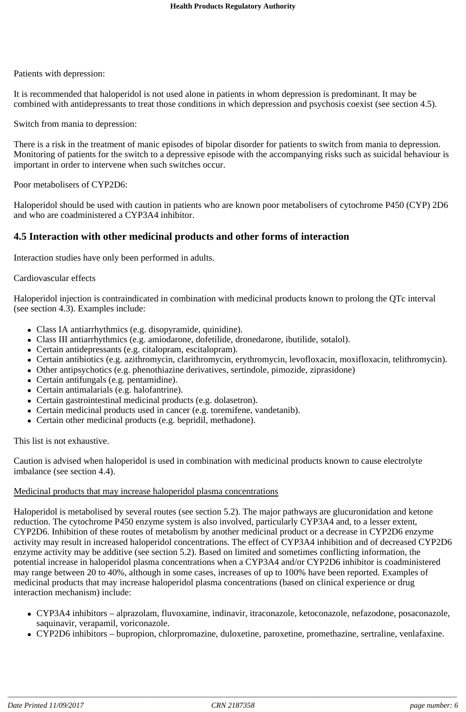Patients with depression:

It is recommended that haloperidol is not used alone in patients in whom depression is predominant. It may be combined with antidepressants to treat those conditions in which depression and psychosis coexist (see section 4.5).

Switch from mania to depression:

There is a risk in the treatment of manic episodes of bipolar disorder for patients to switch from mania to depression. Monitoring of patients for the switch to a depressive episode with the accompanying risks such as suicidal behaviour is important in order to intervene when such switches occur.

Poor metabolisers of CYP2D6:

Haloperidol should be used with caution in patients who are known poor metabolisers of cytochrome P450 (CYP) 2D6 and who are coadministered a CYP3A4 inhibitor.

## **4.5 Interaction with other medicinal products and other forms of interaction**

Interaction studies have only been performed in adults.

#### Cardiovascular effects

Haloperidol injection is contraindicated in combination with medicinal products known to prolong the QTc interval (see section 4.3). Examples include:

- Class IA antiarrhythmics (e.g. disopyramide, quinidine).
- Class III antiarrhythmics (e.g. amiodarone, dofetilide, dronedarone, ibutilide, sotalol).
- Certain antidepressants (e.g. citalopram, escitalopram).
- Certain antibiotics (e.g. azithromycin, clarithromycin, erythromycin, levofloxacin, moxifloxacin, telithromycin).
- Other antipsychotics (e.g. phenothiazine derivatives, sertindole, pimozide, ziprasidone)
- Certain antifungals (e.g. pentamidine).
- Certain antimalarials (e.g. halofantrine).
- Certain gastrointestinal medicinal products (e.g. dolasetron).
- Certain medicinal products used in cancer (e.g. toremifene, vandetanib).
- Certain other medicinal products (e.g. bepridil, methadone).

This list is not exhaustive.

Caution is advised when haloperidol is used in combination with medicinal products known to cause electrolyte imbalance (see section 4.4).

## Medicinal products that may increase haloperidol plasma concentrations

Haloperidol is metabolised by several routes (see section 5.2). The major pathways are glucuronidation and ketone reduction. The cytochrome P450 enzyme system is also involved, particularly CYP3A4 and, to a lesser extent, CYP2D6. Inhibition of these routes of metabolism by another medicinal product or a decrease in CYP2D6 enzyme activity may result in increased haloperidol concentrations. The effect of CYP3A4 inhibition and of decreased CYP2D6 enzyme activity may be additive (see section 5.2). Based on limited and sometimes conflicting information, the potential increase in haloperidol plasma concentrations when a CYP3A4 and/or CYP2D6 inhibitor is coadministered may range between 20 to 40%, although in some cases, increases of up to 100% have been reported. Examples of medicinal products that may increase haloperidol plasma concentrations (based on clinical experience or drug interaction mechanism) include:

- CYP3A4 inhibitors alprazolam, fluvoxamine, indinavir, itraconazole, ketoconazole, nefazodone, posaconazole, saquinavir, verapamil, voriconazole.
- CYP2D6 inhibitors bupropion, chlorpromazine, duloxetine, paroxetine, promethazine, sertraline, venlafaxine.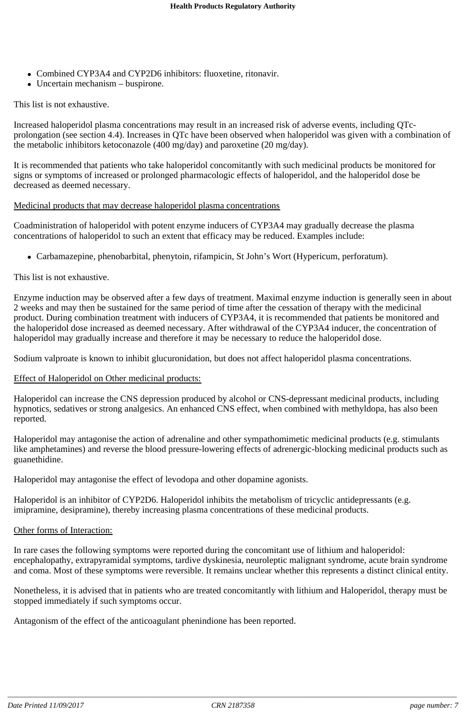- Combined CYP3A4 and CYP2D6 inhibitors: fluoxetine, ritonavir.
- Uncertain mechanism buspirone.

## This list is not exhaustive.

Increased haloperidol plasma concentrations may result in an increased risk of adverse events, including QTcprolongation (see section 4.4). Increases in QTc have been observed when haloperidol was given with a combination of the metabolic inhibitors ketoconazole (400 mg/day) and paroxetine (20 mg/day).

It is recommended that patients who take haloperidol concomitantly with such medicinal products be monitored for signs or symptoms of increased or prolonged pharmacologic effects of haloperidol, and the haloperidol dose be decreased as deemed necessary.

## Medicinal products that may decrease haloperidol plasma concentrations

Coadministration of haloperidol with potent enzyme inducers of CYP3A4 may gradually decrease the plasma concentrations of haloperidol to such an extent that efficacy may be reduced. Examples include:

Carbamazepine, phenobarbital, phenytoin, rifampicin, St John's Wort (Hypericum, perforatum).

## This list is not exhaustive.

Enzyme induction may be observed after a few days of treatment. Maximal enzyme induction is generally seen in about 2 weeks and may then be sustained for the same period of time after the cessation of therapy with the medicinal product. During combination treatment with inducers of CYP3A4, it is recommended that patients be monitored and the haloperidol dose increased as deemed necessary. After withdrawal of the CYP3A4 inducer, the concentration of haloperidol may gradually increase and therefore it may be necessary to reduce the haloperidol dose.

Sodium valproate is known to inhibit glucuronidation, but does not affect haloperidol plasma concentrations.

## Effect of Haloperidol on Other medicinal products:

Haloperidol can increase the CNS depression produced by alcohol or CNS-depressant medicinal products, including hypnotics, sedatives or strong analgesics. An enhanced CNS effect, when combined with methyldopa, has also been reported.

Haloperidol may antagonise the action of adrenaline and other sympathomimetic medicinal products (e.g. stimulants like amphetamines) and reverse the blood pressure-lowering effects of adrenergic-blocking medicinal products such as guanethidine.

Haloperidol may antagonise the effect of levodopa and other dopamine agonists.

Haloperidol is an inhibitor of CYP2D6. Haloperidol inhibits the metabolism of tricyclic antidepressants (e.g. imipramine, desipramine), thereby increasing plasma concentrations of these medicinal products.

## Other forms of Interaction:

In rare cases the following symptoms were reported during the concomitant use of lithium and haloperidol: encephalopathy, extrapyramidal symptoms, tardive dyskinesia, neuroleptic malignant syndrome, acute brain syndrome and coma. Most of these symptoms were reversible. It remains unclear whether this represents a distinct clinical entity.

Nonetheless, it is advised that in patients who are treated concomitantly with lithium and Haloperidol, therapy must be stopped immediately if such symptoms occur.

Antagonism of the effect of the anticoagulant phenindione has been reported.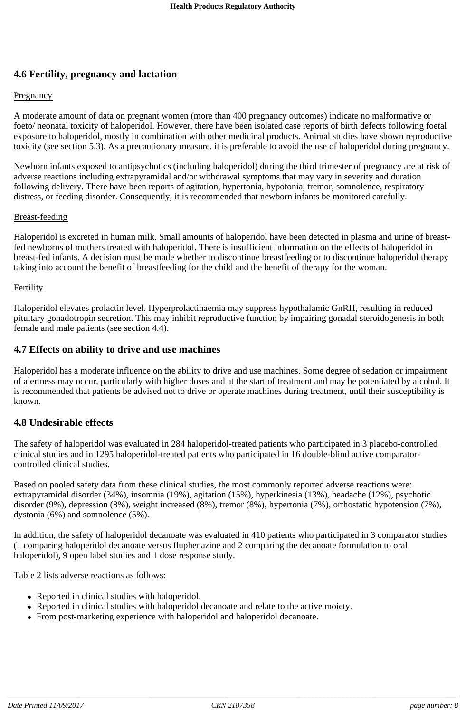## **4.6 Fertility, pregnancy and lactation**

## **Pregnancy**

A moderate amount of data on pregnant women (more than 400 pregnancy outcomes) indicate no malformative or foeto/ neonatal toxicity of haloperidol. However, there have been isolated case reports of birth defects following foetal exposure to haloperidol, mostly in combination with other medicinal products. Animal studies have shown reproductive toxicity (see section 5.3). As a precautionary measure, it is preferable to avoid the use of haloperidol during pregnancy.

Newborn infants exposed to antipsychotics (including haloperidol) during the third trimester of pregnancy are at risk of adverse reactions including extrapyramidal and/or withdrawal symptoms that may vary in severity and duration following delivery. There have been reports of agitation, hypertonia, hypotonia, tremor, somnolence, respiratory distress, or feeding disorder. Consequently, it is recommended that newborn infants be monitored carefully.

## Breast-feeding

Haloperidol is excreted in human milk. Small amounts of haloperidol have been detected in plasma and urine of breastfed newborns of mothers treated with haloperidol. There is insufficient information on the effects of haloperidol in breast-fed infants. A decision must be made whether to discontinue breastfeeding or to discontinue haloperidol therapy taking into account the benefit of breastfeeding for the child and the benefit of therapy for the woman.

## **Fertility**

Haloperidol elevates prolactin level. Hyperprolactinaemia may suppress hypothalamic GnRH, resulting in reduced pituitary gonadotropin secretion. This may inhibit reproductive function by impairing gonadal steroidogenesis in both female and male patients (see section 4.4).

## **4.7 Effects on ability to drive and use machines**

Haloperidol has a moderate influence on the ability to drive and use machines. Some degree of sedation or impairment of alertness may occur, particularly with higher doses and at the start of treatment and may be potentiated by alcohol. It is recommended that patients be advised not to drive or operate machines during treatment, until their susceptibility is known.

## **4.8 Undesirable effects**

The safety of haloperidol was evaluated in 284 haloperidol-treated patients who participated in 3 placebo-controlled clinical studies and in 1295 haloperidol-treated patients who participated in 16 double-blind active comparatorcontrolled clinical studies.

Based on pooled safety data from these clinical studies, the most commonly reported adverse reactions were: extrapyramidal disorder (34%), insomnia (19%), agitation (15%), hyperkinesia (13%), headache (12%), psychotic disorder (9%), depression (8%), weight increased (8%), tremor (8%), hypertonia (7%), orthostatic hypotension (7%), dystonia (6%) and somnolence (5%).

In addition, the safety of haloperidol decanoate was evaluated in 410 patients who participated in 3 comparator studies (1 comparing haloperidol decanoate versus fluphenazine and 2 comparing the decanoate formulation to oral haloperidol), 9 open label studies and 1 dose response study.

Table 2 lists adverse reactions as follows:

- Reported in clinical studies with haloperidol.
- Reported in clinical studies with haloperidol decanoate and relate to the active moiety.
- From post-marketing experience with haloperidol and haloperidol decanoate.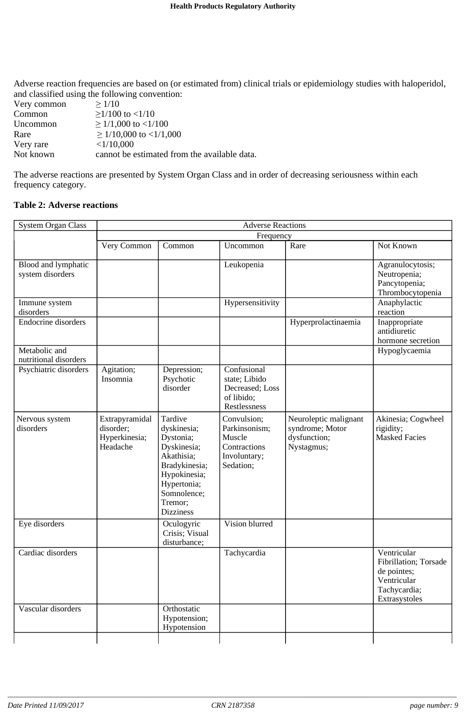Adverse reaction frequencies are based on (or estimated from) clinical trials or epidemiology studies with haloperidol, and classified using the following convention:

| Very common | >1/10                                        |
|-------------|----------------------------------------------|
| Common      | $>1/100$ to $<1/10$                          |
| Uncommon    | $\geq$ 1/1,000 to <1/100                     |
| Rare        | $\geq$ 1/10,000 to <1/1,000                  |
| Very rare   | <1/10,000                                    |
| Not known   | cannot be estimated from the available data. |

The adverse reactions are presented by System Organ Class and in order of decreasing seriousness within each frequency category.

### **Table 2: Adverse reactions**

| <b>System Organ Class</b>               | <b>Adverse Reactions</b>                                 |                                                                                                                                                                |                                                                                     |                                                                        |                                                                                                     |  |
|-----------------------------------------|----------------------------------------------------------|----------------------------------------------------------------------------------------------------------------------------------------------------------------|-------------------------------------------------------------------------------------|------------------------------------------------------------------------|-----------------------------------------------------------------------------------------------------|--|
|                                         | Frequency                                                |                                                                                                                                                                |                                                                                     |                                                                        |                                                                                                     |  |
|                                         | Very Common                                              | Common                                                                                                                                                         | Uncommon                                                                            | Rare                                                                   | Not Known                                                                                           |  |
| Blood and lymphatic<br>system disorders |                                                          |                                                                                                                                                                | Leukopenia                                                                          |                                                                        | Agranulocytosis;<br>Neutropenia;<br>Pancytopenia;<br>Thrombocytopenia                               |  |
| Immune system<br>disorders              |                                                          |                                                                                                                                                                | Hypersensitivity                                                                    |                                                                        | Anaphylactic<br>reaction                                                                            |  |
| <b>Endocrine</b> disorders              |                                                          |                                                                                                                                                                |                                                                                     | Hyperprolactinaemia                                                    | Inappropriate<br>antidiuretic<br>hormone secretion                                                  |  |
| Metabolic and<br>nutritional disorders  |                                                          |                                                                                                                                                                |                                                                                     |                                                                        | Hypoglycaemia                                                                                       |  |
| Psychiatric disorders                   | Agitation;<br>Insomnia                                   | Depression;<br>Psychotic<br>disorder                                                                                                                           | Confusional<br>state; Libido<br>Decreased; Loss<br>of libido;<br>Restlessness       |                                                                        |                                                                                                     |  |
| Nervous system<br>disorders             | Extrapyramidal<br>disorder;<br>Hyperkinesia;<br>Headache | Tardive<br>dyskinesia;<br>Dystonia;<br>Dyskinesia;<br>Akathisia;<br>Bradykinesia;<br>Hypokinesia;<br>Hypertonia;<br>Somnolence;<br>Tremor;<br><b>Dizziness</b> | Convulsion;<br>Parkinsonism;<br>Muscle<br>Contractions<br>Involuntary;<br>Sedation; | Neuroleptic malignant<br>syndrome; Motor<br>dysfunction;<br>Nystagmus; | Akinesia; Cogwheel<br>rigidity;<br><b>Masked Facies</b>                                             |  |
| Eye disorders                           |                                                          | Oculogyric<br>Crisis; Visual<br>disturbance;                                                                                                                   | Vision blurred                                                                      |                                                                        |                                                                                                     |  |
| Cardiac disorders                       |                                                          |                                                                                                                                                                | Tachycardia                                                                         |                                                                        | Ventricular<br>Fibrillation; Torsade<br>de pointes;<br>Ventricular<br>Tachycardia;<br>Extrasystoles |  |
| Vascular disorders                      |                                                          | Orthostatic<br>Hypotension;<br>Hypotension                                                                                                                     |                                                                                     |                                                                        |                                                                                                     |  |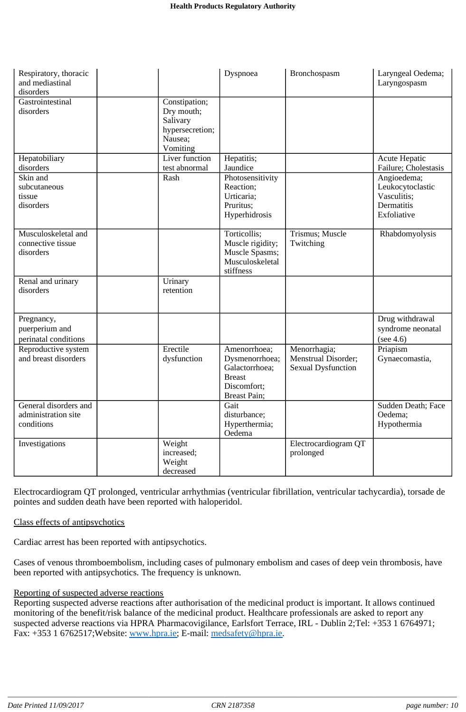| Respiratory, thoracic<br>and mediastinal<br>disorders      |                                                                                   | Dyspnoea                                                                                         | Bronchospasm                                                     | Laryngeal Oedema;<br>Laryngospasm                                           |
|------------------------------------------------------------|-----------------------------------------------------------------------------------|--------------------------------------------------------------------------------------------------|------------------------------------------------------------------|-----------------------------------------------------------------------------|
| Gastrointestinal<br>disorders                              | Constipation;<br>Dry mouth;<br>Salivary<br>hypersecretion;<br>Nausea;<br>Vomiting |                                                                                                  |                                                                  |                                                                             |
| Hepatobiliary<br>disorders                                 | Liver function<br>test abnormal                                                   | Hepatitis;<br>Jaundice                                                                           |                                                                  | Acute Hepatic<br>Failure; Cholestasis                                       |
| Skin and<br>subcutaneous<br>tissue<br>disorders            | Rash                                                                              | Photosensitivity<br>Reaction;<br>Urticaria;<br>Pruritus;<br>Hyperhidrosis                        |                                                                  | Angioedema;<br>Leukocytoclastic<br>Vasculitis;<br>Dermatitis<br>Exfoliative |
| Musculoskeletal and<br>connective tissue<br>disorders      |                                                                                   | Torticollis;<br>Muscle rigidity;<br>Muscle Spasms;<br>Musculoskeletal<br>stiffness               | Trismus; Muscle<br>Twitching                                     | Rhabdomyolysis                                                              |
| Renal and urinary<br>disorders                             | Urinary<br>retention                                                              |                                                                                                  |                                                                  |                                                                             |
| Pregnancy,<br>puerperium and<br>perinatal conditions       |                                                                                   |                                                                                                  |                                                                  | Drug withdrawal<br>syndrome neonatal<br>(see 4.6)                           |
| Reproductive system<br>and breast disorders                | Erectile<br>dysfunction                                                           | Amenorrhoea;<br>Dysmenorrhoea;<br>Galactorrhoea;<br><b>Breast</b><br>Discomfort;<br>Breast Pain; | Menorrhagia;<br>Menstrual Disorder;<br><b>Sexual Dysfunction</b> | Priapism<br>Gynaecomastia,                                                  |
| General disorders and<br>administration site<br>conditions |                                                                                   | Gait<br>disturbance;<br>Hyperthermia;<br>Oedema                                                  |                                                                  | <b>Sudden Death; Face</b><br>Oedema;<br>Hypothermia                         |
| Investigations                                             | Weight<br>increased;<br>Weight<br>decreased                                       |                                                                                                  | Electrocardiogram QT<br>prolonged                                |                                                                             |

Electrocardiogram QT prolonged, ventricular arrhythmias (ventricular fibrillation, ventricular tachycardia), torsade de pointes and sudden death have been reported with haloperidol.

## Class effects of antipsychotics

Cardiac arrest has been reported with antipsychotics.

Cases of venous thromboembolism, including cases of pulmonary embolism and cases of deep vein thrombosis, have been reported with antipsychotics. The frequency is unknown.

## Reporting of suspected adverse reactions

Reporting suspected adverse reactions after authorisation of the medicinal product is important. It allows continued monitoring of the benefit/risk balance of the medicinal product. Healthcare professionals are asked to report any suspected adverse reactions via HPRA Pharmacovigilance, Earlsfort Terrace, IRL - Dublin 2;Tel: +353 1 6764971; Fax: +353 1 6762517;Website: www.hpra.ie; E-mail: medsafety@hpra.ie.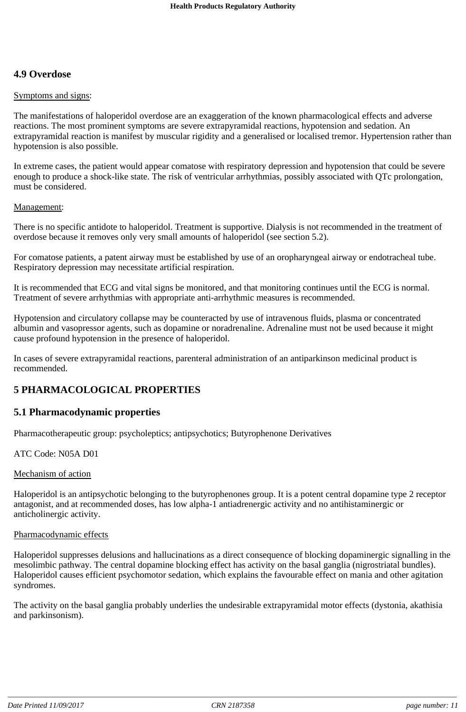## **4.9 Overdose**

## Symptoms and signs:

The manifestations of haloperidol overdose are an exaggeration of the known pharmacological effects and adverse reactions. The most prominent symptoms are severe extrapyramidal reactions, hypotension and sedation. An extrapyramidal reaction is manifest by muscular rigidity and a generalised or localised tremor. Hypertension rather than hypotension is also possible.

In extreme cases, the patient would appear comatose with respiratory depression and hypotension that could be severe enough to produce a shock-like state. The risk of ventricular arrhythmias, possibly associated with QTc prolongation, must be considered.

## Management:

There is no specific antidote to haloperidol. Treatment is supportive. Dialysis is not recommended in the treatment of overdose because it removes only very small amounts of haloperidol (see section 5.2).

For comatose patients, a patent airway must be established by use of an oropharyngeal airway or endotracheal tube. Respiratory depression may necessitate artificial respiration.

It is recommended that ECG and vital signs be monitored, and that monitoring continues until the ECG is normal. Treatment of severe arrhythmias with appropriate anti-arrhythmic measures is recommended.

Hypotension and circulatory collapse may be counteracted by use of intravenous fluids, plasma or concentrated albumin and vasopressor agents, such as dopamine or noradrenaline. Adrenaline must not be used because it might cause profound hypotension in the presence of haloperidol.

In cases of severe extrapyramidal reactions, parenteral administration of an antiparkinson medicinal product is recommended.

## **5 PHARMACOLOGICAL PROPERTIES**

## **5.1 Pharmacodynamic properties**

Pharmacotherapeutic group: psycholeptics; antipsychotics; Butyrophenone Derivatives

ATC Code: N05A D01

## Mechanism of action

Haloperidol is an antipsychotic belonging to the butyrophenones group. It is a potent central dopamine type 2 receptor antagonist, and at recommended doses, has low alpha-1 antiadrenergic activity and no antihistaminergic or anticholinergic activity.

## Pharmacodynamic effects

Haloperidol suppresses delusions and hallucinations as a direct consequence of blocking dopaminergic signalling in the mesolimbic pathway. The central dopamine blocking effect has activity on the basal ganglia (nigrostriatal bundles). Haloperidol causes efficient psychomotor sedation, which explains the favourable effect on mania and other agitation syndromes.

The activity on the basal ganglia probably underlies the undesirable extrapyramidal motor effects (dystonia, akathisia and parkinsonism).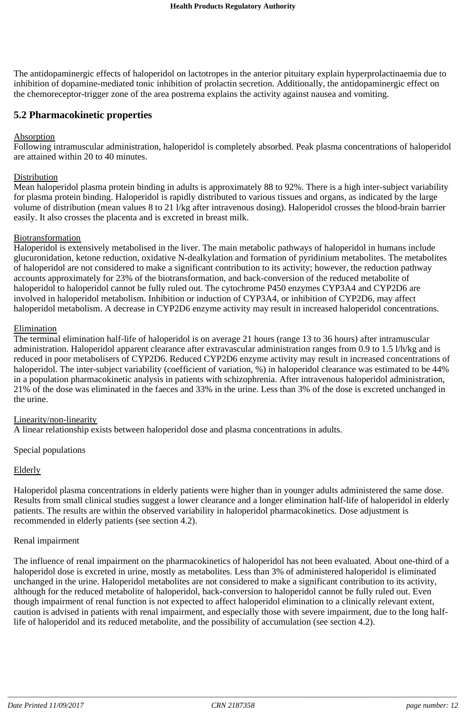The antidopaminergic effects of haloperidol on lactotropes in the anterior pituitary explain hyperprolactinaemia due to inhibition of dopamine-mediated tonic inhibition of prolactin secretion. Additionally, the antidopaminergic effect on the chemoreceptor-trigger zone of the area postrema explains the activity against nausea and vomiting.

## **5.2 Pharmacokinetic properties**

### Absorption

Following intramuscular administration, haloperidol is completely absorbed. Peak plasma concentrations of haloperidol are attained within 20 to 40 minutes.

### **Distribution**

Mean haloperidol plasma protein binding in adults is approximately 88 to 92%. There is a high inter-subject variability for plasma protein binding. Haloperidol is rapidly distributed to various tissues and organs, as indicated by the large volume of distribution (mean values 8 to 21 l/kg after intravenous dosing). Haloperidol crosses the blood-brain barrier easily. It also crosses the placenta and is excreted in breast milk.

#### **Biotransformation**

Haloperidol is extensively metabolised in the liver. The main metabolic pathways of haloperidol in humans include glucuronidation, ketone reduction, oxidative N-dealkylation and formation of pyridinium metabolites. The metabolites of haloperidol are not considered to make a significant contribution to its activity; however, the reduction pathway accounts approximately for 23% of the biotransformation, and back-conversion of the reduced metabolite of haloperidol to haloperidol cannot be fully ruled out. The cytochrome P450 enzymes CYP3A4 and CYP2D6 are involved in haloperidol metabolism. Inhibition or induction of CYP3A4, or inhibition of CYP2D6, may affect haloperidol metabolism. A decrease in CYP2D6 enzyme activity may result in increased haloperidol concentrations.

#### Elimination

The terminal elimination half-life of haloperidol is on average 21 hours (range 13 to 36 hours) after intramuscular administration. Haloperidol apparent clearance after extravascular administration ranges from 0.9 to 1.5 l/h/kg and is reduced in poor metabolisers of CYP2D6. Reduced CYP2D6 enzyme activity may result in increased concentrations of haloperidol. The inter-subject variability (coefficient of variation, %) in haloperidol clearance was estimated to be 44% in a population pharmacokinetic analysis in patients with schizophrenia. After intravenous haloperidol administration, 21% of the dose was eliminated in the faeces and 33% in the urine. Less than 3% of the dose is excreted unchanged in the urine.

#### Linearity/non-linearity

A linear relationship exists between haloperidol dose and plasma concentrations in adults.

Special populations

## Elderly

Haloperidol plasma concentrations in elderly patients were higher than in younger adults administered the same dose. Results from small clinical studies suggest a lower clearance and a longer elimination half-life of haloperidol in elderly patients. The results are within the observed variability in haloperidol pharmacokinetics. Dose adjustment is recommended in elderly patients (see section 4.2).

#### Renal impairment

The influence of renal impairment on the pharmacokinetics of haloperidol has not been evaluated. About one-third of a haloperidol dose is excreted in urine, mostly as metabolites. Less than 3% of administered haloperidol is eliminated unchanged in the urine. Haloperidol metabolites are not considered to make a significant contribution to its activity, although for the reduced metabolite of haloperidol, back-conversion to haloperidol cannot be fully ruled out. Even though impairment of renal function is not expected to affect haloperidol elimination to a clinically relevant extent, caution is advised in patients with renal impairment, and especially those with severe impairment, due to the long halflife of haloperidol and its reduced metabolite, and the possibility of accumulation (see section 4.2).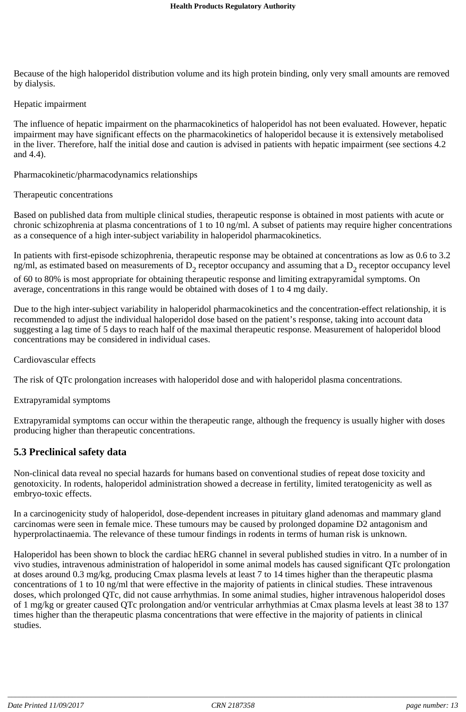Because of the high haloperidol distribution volume and its high protein binding, only very small amounts are removed by dialysis.

#### Hepatic impairment

The influence of hepatic impairment on the pharmacokinetics of haloperidol has not been evaluated. However, hepatic impairment may have significant effects on the pharmacokinetics of haloperidol because it is extensively metabolised in the liver. Therefore, half the initial dose and caution is advised in patients with hepatic impairment (see sections 4.2 and 4.4).

Pharmacokinetic/pharmacodynamics relationships

#### Therapeutic concentrations

Based on published data from multiple clinical studies, therapeutic response is obtained in most patients with acute or chronic schizophrenia at plasma concentrations of 1 to 10 ng/ml. A subset of patients may require higher concentrations as a consequence of a high inter-subject variability in haloperidol pharmacokinetics.

In patients with first-episode schizophrenia, therapeutic response may be obtained at concentrations as low as 0.6 to 3.2 ng/ml, as estimated based on measurements of  $D_2$  receptor occupancy and assuming that a  $D_2$  receptor occupancy level of 60 to 80% is most appropriate for obtaining therapeutic response and limiting extrapyramidal symptoms. On average, concentrations in this range would be obtained with doses of 1 to 4 mg daily.

Due to the high inter-subject variability in haloperidol pharmacokinetics and the concentration-effect relationship, it is recommended to adjust the individual haloperidol dose based on the patient's response, taking into account data suggesting a lag time of 5 days to reach half of the maximal therapeutic response. Measurement of haloperidol blood concentrations may be considered in individual cases.

Cardiovascular effects

The risk of QTc prolongation increases with haloperidol dose and with haloperidol plasma concentrations.

Extrapyramidal symptoms

Extrapyramidal symptoms can occur within the therapeutic range, although the frequency is usually higher with doses producing higher than therapeutic concentrations.

## **5.3 Preclinical safety data**

Non-clinical data reveal no special hazards for humans based on conventional studies of repeat dose toxicity and genotoxicity. In rodents, haloperidol administration showed a decrease in fertility, limited teratogenicity as well as embryo-toxic effects.

In a carcinogenicity study of haloperidol, dose-dependent increases in pituitary gland adenomas and mammary gland carcinomas were seen in female mice. These tumours may be caused by prolonged dopamine D2 antagonism and hyperprolactinaemia. The relevance of these tumour findings in rodents in terms of human risk is unknown.

Haloperidol has been shown to block the cardiac hERG channel in several published studies in vitro. In a number of in vivo studies, intravenous administration of haloperidol in some animal models has caused significant QTc prolongation at doses around 0.3 mg/kg, producing Cmax plasma levels at least 7 to 14 times higher than the therapeutic plasma concentrations of 1 to 10 ng/ml that were effective in the majority of patients in clinical studies. These intravenous doses, which prolonged QTc, did not cause arrhythmias. In some animal studies, higher intravenous haloperidol doses of 1 mg/kg or greater caused QTc prolongation and/or ventricular arrhythmias at Cmax plasma levels at least 38 to 137 times higher than the therapeutic plasma concentrations that were effective in the majority of patients in clinical studies.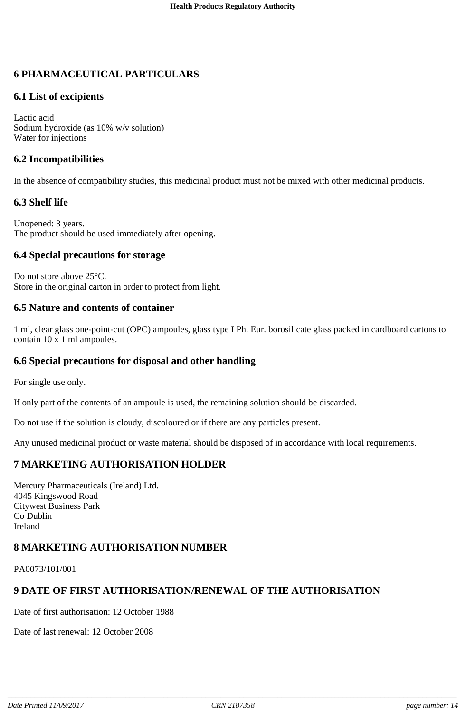## **6 PHARMACEUTICAL PARTICULARS**

## **6.1 List of excipients**

Lactic acid Sodium hydroxide (as 10% w/v solution) Water for injections

## **6.2 Incompatibilities**

In the absence of compatibility studies, this medicinal product must not be mixed with other medicinal products.

## **6.3 Shelf life**

Unopened: 3 years. The product should be used immediately after opening.

## **6.4 Special precautions for storage**

Do not store above 25°C. Store in the original carton in order to protect from light.

## **6.5 Nature and contents of container**

1 ml, clear glass one-point-cut (OPC) ampoules, glass type I Ph. Eur. borosilicate glass packed in cardboard cartons to contain 10 x 1 ml ampoules.

## **6.6 Special precautions for disposal and other handling**

For single use only.

If only part of the contents of an ampoule is used, the remaining solution should be discarded.

Do not use if the solution is cloudy, discoloured or if there are any particles present.

Any unused medicinal product or waste material should be disposed of in accordance with local requirements.

## **7 MARKETING AUTHORISATION HOLDER**

Mercury Pharmaceuticals (Ireland) Ltd. 4045 Kingswood Road Citywest Business Park Co Dublin Ireland

## **8 MARKETING AUTHORISATION NUMBER**

PA0073/101/001

## **9 DATE OF FIRST AUTHORISATION/RENEWAL OF THE AUTHORISATION**

Date of first authorisation: 12 October 1988

Date of last renewal: 12 October 2008